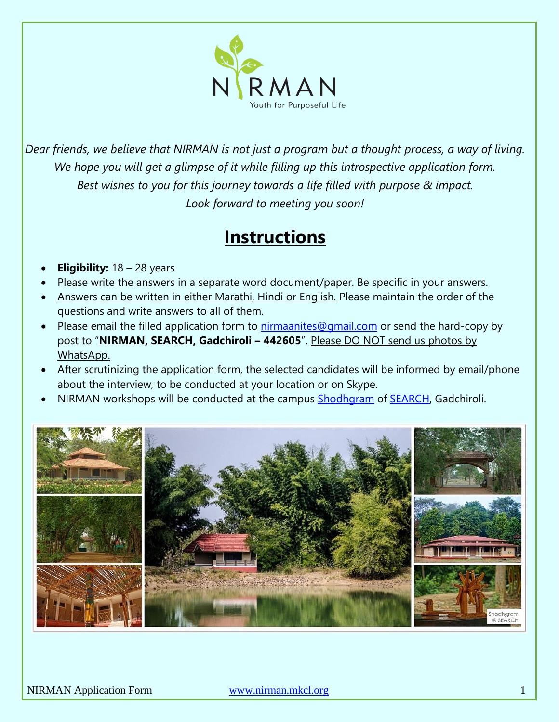

*Dear friends, we believe that NIRMAN is not just a program but a thought process, a way of living. We hope you will get a glimpse of it while filling up this introspective application form. Best wishes to you for this journey towards a life filled with purpose & impact. Look forward to meeting you soon!*

# **Instructions**

- **Eligibility:** 18 28 years
- Please write the answers in a separate word document/paper. Be specific in your answers.
- Answers can be written in either Marathi, Hindi or English. Please maintain the order of the questions and write answers to all of them.
- Please email the filled application form to [nirmaanites@gmail.com](mailto:nirmaanites@gmail.com) or send the hard-copy by post to "**NIRMAN, SEARCH, Gadchiroli – 442605**". Please DO NOT send us photos by WhatsApp.
- After scrutinizing the application form, the selected candidates will be informed by email/phone about the interview, to be conducted at your location or on Skype.
- NIRMAN workshops will be conducted at the campus [Shodhgram](https://goo.gl/maps/D8FWndy2oGvzdiBz8) of [SEARCH,](http://searchforhealth.ngo/) Gadchiroli.

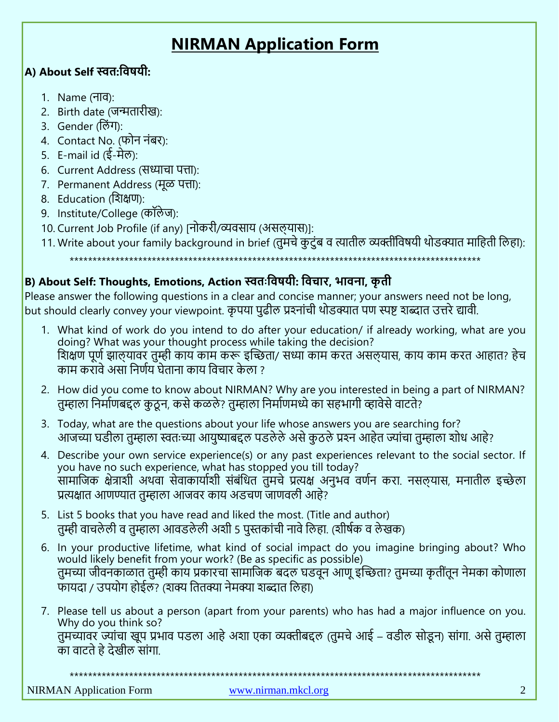## **NIRMAN Application Form**

### **A) About Self स्वत:विषयी:**

- 1. Name (नाव):
- 2. Birth date (जन्मतारीख):
- 3. Gender (लिंग):
- 4. Contact No. (फोन निंबर):
- 5. E-mail id  $(\xi \vec{H}\vec{\sigma})$ :
- 6. Current Address (सध्याचा पत्ता):
- 7. Permanent Address (मूळ पत्ता):
- 8. Education (लिक्षण):
- 9. Institute/College (कॉलेज):
- 10. Current Job Profile (if any) [नोकरी/व्यवसाय (असलयास)]:
- 11. Write about your family background in brief (तुमचे कुटुंब व त्यातील व्यक्तींविषयी थोडक्यात माहिती लिहा):

\*\*\*\*\*\*\*\*\*\*\*\*\*\*\*\*\*\*\*\*\*\*\*\*\*\*\*\*\*\*\*\*\*\*\*\*\*\*\*\*\*\*\*\*\*\*\*\*\*\*\*\*\*\*\*\*\*\*\*\*\*\*\*\*\*\*\*\*\*\*\*\*\*\*\*\*\*\*\*\*\*\*\*\*\*\*\*\*\*\*

## **B) About Self: Thoughts, Emotions, Action स्वतः विषयी: विचार, भािना, कृ ती**

Please answer the following questions in a clear and concise manner; your answers need not be long, but should clearly convey your viewpoint. कृपया पुढील प्रश्नांची थोडक्यात पण स्पष्ट शब्दात उत्तरे द्यावी.

- 1. What kind of work do you intend to do after your education/ if already working, what are you doing? What was your thought process while taking the decision? शिक्षण पूर्ण झाल्यावर तुम्ही काय काम करू इच्छिता/ सध्या काम करत असल्यास, काय काम करत आहात? हेच काम करावे असा निर्णय घेताना काय विचार केला ?
- 2. How did you come to know about NIRMAN? Why are you interested in being a part of NIRMAN? तुम्हाला निर्माणबद्दल कुठन, कसे कळले? तुम्हाला निर्माणमध्ये का सहभागी व्हावेसे वाटते?
- 3. Today, what are the questions about your life whose answers you are searching for? आजच्या घडीला तुम्हाला स्वतःच्या आयुष्याबद्दल पडलेले असे कुठले प्रश्न आहेत ज्यांचा तुम्हाला शोध आहे?
- 4. Describe your own service experience(s) or any past experiences relevant to the social sector. If you have no such experience, what has stopped you till today? सामाजिक क्षेत्राशी अथवा सेवाकार्याशी संबंधित तुमचे प्रत्यक्ष अनुभव वर्णन करा. नसलयास, मनातील इच्छेला प्रत्यक्षात आणण्यात तुम्हाला आजवर काय अडचण जाणवली आहे?
- 5. List 5 books that you have read and liked the most. (Title and author) तम्ही वाचलेली व तुम्हाला आवडलेली अशी 5 पुस्तकांची नावे लिहा. (शीर्षक व लेखक)
- 6. In your productive lifetime, what kind of social impact do you imagine bringing about? Who would likely benefit from your work? (Be as specific as possible) तुमच्या जीवनकाळात तुम्ही काय प्रकारचा सामाजिक बदल घडवून आणू इच्छिता? तुमच्या कृतींतून नेमका कोणाला फायदा / उपयोग होईल? (शक्य तितक्या नेमक्या शब्दात लिहा)
- 7. Please tell us about a person (apart from your parents) who has had a major influence on you. Why do you think so? तुमच्यावर ज्यांचा खूप प्रभाव पडला आहे अशा एका व्यक्तीबद्दल (तुमचे आई – वडील सोडून) सांगा. असे तुम्हाला का वाटते हे देखील सांगा.

\*\*\*\*\*\*\*\*\*\*\*\*\*\*\*\*\*\*\*\*\*\*\*\*\*\*\*\*\*\*\*\*\*\*\*

NIRMAN Application Form [www.nirman.mkcl.org](http://www.nirman.mkcl.org/) 2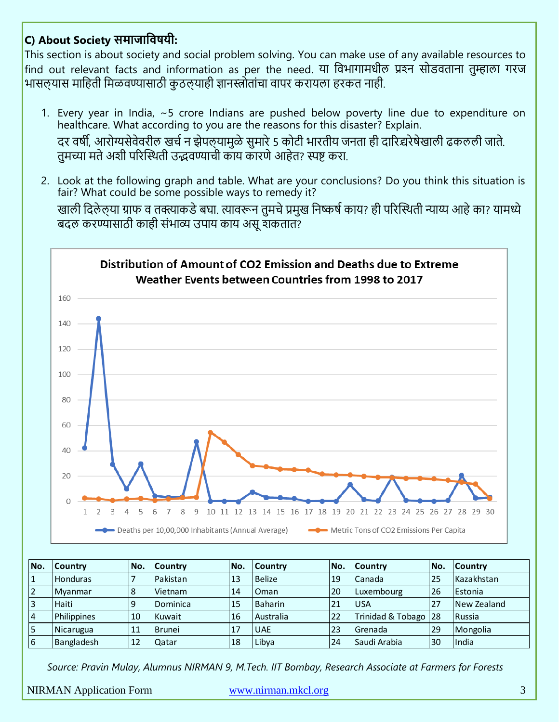## **C) About Society समाजाविषयी:**

This section is about society and social problem solving. You can make use of any available resources to find out relevant facts and information as per the need. या विभागामधील प्रश्न सोडवताना तुम्हाला गरज भासलयास माहिती मिळवण्यासाठी कुठलयाही ज्ञानस्त्रोतांचा वापर करायला हरकत नाही.

- 1. Every year in India, ~5 crore Indians are pushed below poverty line due to expenditure on healthcare. What according to you are the reasons for this disaster? Explain. दर वर्षी, आरोग्यसेवेवरील खर्च न झेपलयामुळे सुमारे 5 कोटी भारतीय जनता ही दारिद्यरेषेखाली ढकलली जाते. तमच्या मते अशी परिस्थिती उद्भवण्याची काय कारणे आहेत? स्पष्ट करा.
- 2. Look at the following graph and table. What are your conclusions? Do you think this situation is fair? What could be some possible ways to remedy it? खाली दिलेल्या ग्राफ व तक्त्याकडे बघा. त्यावरून तुमचे प्रमुख निष्कर्ष काय? ही परिस्थिती न्याय्य आहे का? यामध्ये बदल करण्यासाठी काही संभाव्य उपाय काय असू शकतात?



| No.            | <b>Country</b>  | No. | <b>Country</b> | INo.      | <b>Country</b>   | No. | lCountrv             | No. | <b>Country</b> |
|----------------|-----------------|-----|----------------|-----------|------------------|-----|----------------------|-----|----------------|
|                | <b>Honduras</b> |     | Pakistan       | 13        | Belize           | 19  | Canada               | 25  | Kazakhstan     |
| $\overline{2}$ | Myanmar         | 18  | Vietnam        | 14        | l Oman           | 20  | Luxembourg           | 26  | Estonia        |
| 3              | <b>Haiti</b>    | 9   | Dominica       | 115       | <b>Baharin</b>   | 21  | lusa                 | 27  | New Zealand    |
| <b>4</b>       | Philippines     | 10  | Kuwait         | <b>16</b> | <b>Australia</b> | 22  | Trinidad & Tobago 28 |     | Russia         |
| 5              | Nicarugua       | 11  | <b>Brunei</b>  | 17        | <b>UAE</b>       | 23  | lGrenada             | 29  | Mongolia       |
| <b>6</b>       | Bangladesh      | 12  | Qatar          | 18        | Libva            | 24  | Saudi Arabia         | 30  | <b>India</b>   |

*Source: Pravin Mulay, Alumnus NIRMAN 9, M.Tech. IIT Bombay, Research Associate at Farmers for Forests*

NIRMAN Application Form [www.nirman.mkcl.org](http://www.nirman.mkcl.org/) 3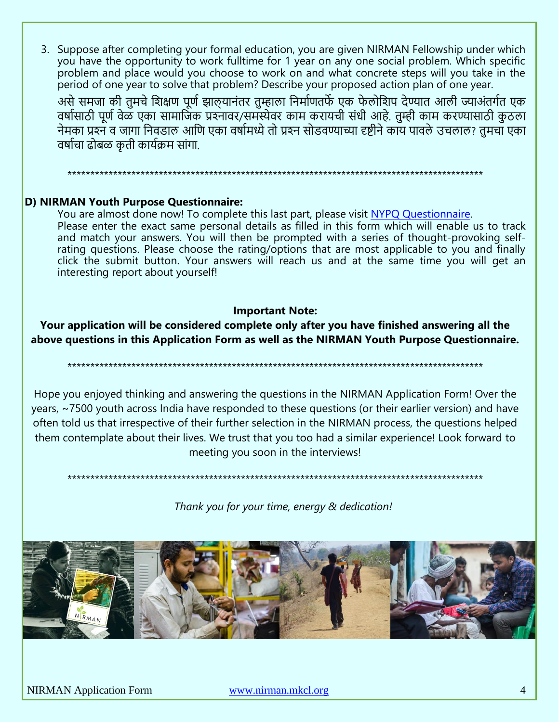3. Suppose after completing your formal education, you are given NIRMAN Fellowship under which you have the opportunity to work fulltime for 1 year on any one social problem. Which specific problem and place would you choose to work on and what concrete steps will you take in the period of one year to solve that problem? Describe your proposed action plan of one year.

असे समजा की तुमचे शिक्षण पूर्ण झालयानंतर तुम्हाला निर्माणतर्फे एक फेलोशिप देण्यात आली ज्याअंतर्गत एक वर्षासाठी पूर्ण वेळ एका सामाजिक प्रश्नावर/समस्येवर काम करायची संधी आहे. तम्ही काम करण्यासाठी कठला नेमका प्रश्न व जागा निवडाल आणि एका वर्षामध्ये तो प्रश्न सोडवण्याच्या दृष्टीने काॅय पावले उचलाल? तुमचा एका वर्षाचा ढोबळ कृती कार्यक्रम सांगा.

#### D) NIRMAN Youth Purpose Questionnaire:

You are almost done now! To complete this last part, please visit NYPQ Questionnaire. Please enter the exact same personal details as filled in this form which will enable us to track and match your answers. You will then be prompted with a series of thought-provoking selfrating questions. Please choose the rating/options that are most applicable to you and finally click the submit button. Your answers will reach us and at the same time you will get an interesting report about yourself!

#### **Important Note:**

#### Your application will be considered complete only after you have finished answering all the above questions in this Application Form as well as the NIRMAN Youth Purpose Questionnaire.

Hope you enjoyed thinking and answering the questions in the NIRMAN Application Form! Over the years, ~7500 youth across India have responded to these questions (or their earlier version) and have often told us that irrespective of their further selection in the NIRMAN process, the questions helped them contemplate about their lives. We trust that you too had a similar experience! Look forward to meeting you soon in the interviews!

Thank you for your time, energy & dedication!